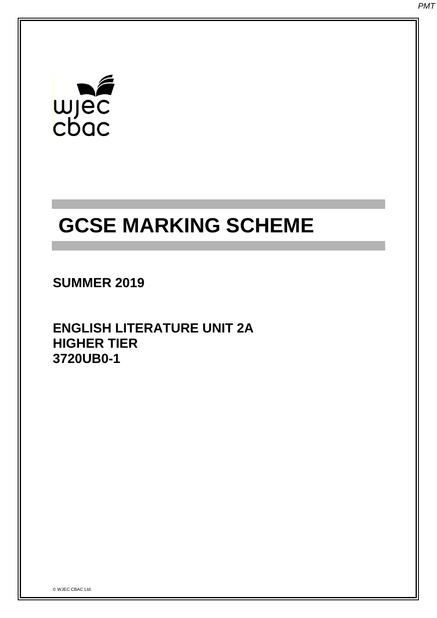# wjec<br>cbac

# **GCSE MARKING SCHEME**

**SUMMER 2019**

**ENGLISH LITERATURE UNIT 2A HIGHER TIER 3720UB0-1**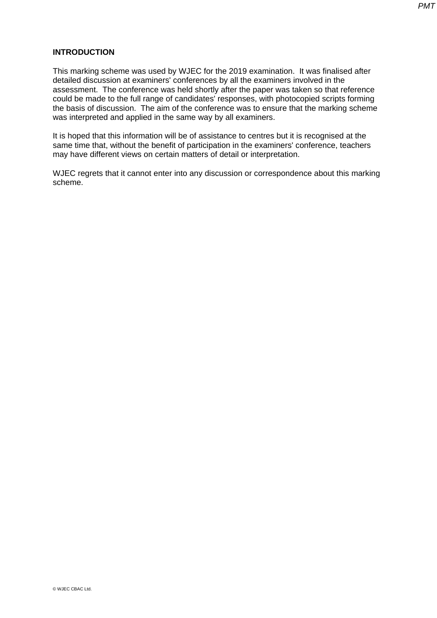# **INTRODUCTION**

This marking scheme was used by WJEC for the 2019 examination. It was finalised after detailed discussion at examiners' conferences by all the examiners involved in the assessment. The conference was held shortly after the paper was taken so that reference could be made to the full range of candidates' responses, with photocopied scripts forming the basis of discussion. The aim of the conference was to ensure that the marking scheme was interpreted and applied in the same way by all examiners.

It is hoped that this information will be of assistance to centres but it is recognised at the same time that, without the benefit of participation in the examiners' conference, teachers may have different views on certain matters of detail or interpretation.

WJEC regrets that it cannot enter into any discussion or correspondence about this marking scheme.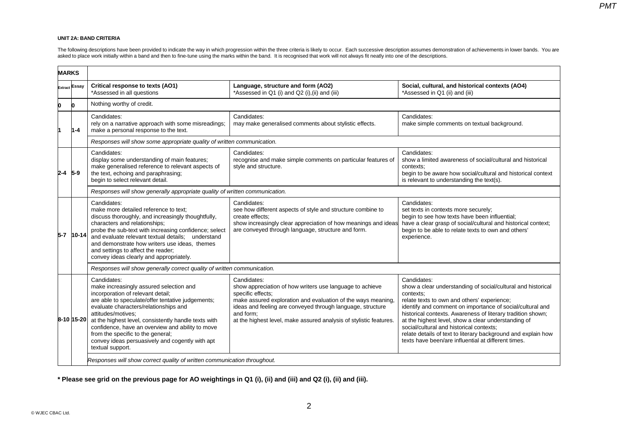#### **UNIT 2A: BAND CRITERIA**

The following descriptions have been provided to indicate the way in which progression within the three criteria is likely to occur. Each successive description assumes demonstration of achievements in lower bands. You are asked to place work initially within a band and then to fine-tune using the marks within the band. It is recognised that work will not always fit neatly into one of the descriptions.

| <b>MARKS</b> |               |                                                                                                                                                                                                                                                                                                                                                                                                                                         |                                                                                                                                                                                                                                                                                                               |                                                                                                                                                                                                                                                                                                                                                                                                                                                                                                |  |  |
|--------------|---------------|-----------------------------------------------------------------------------------------------------------------------------------------------------------------------------------------------------------------------------------------------------------------------------------------------------------------------------------------------------------------------------------------------------------------------------------------|---------------------------------------------------------------------------------------------------------------------------------------------------------------------------------------------------------------------------------------------------------------------------------------------------------------|------------------------------------------------------------------------------------------------------------------------------------------------------------------------------------------------------------------------------------------------------------------------------------------------------------------------------------------------------------------------------------------------------------------------------------------------------------------------------------------------|--|--|
|              | Extract Essay | Critical response to texts (AO1)<br>*Assessed in all questions                                                                                                                                                                                                                                                                                                                                                                          | Language, structure and form (AO2)<br>*Assessed in Q1 (i) and Q2 (i), (ii) and (iii)                                                                                                                                                                                                                          | Social, cultural, and historical contexts (AO4)<br>*Assessed in Q1 (ii) and (iii)                                                                                                                                                                                                                                                                                                                                                                                                              |  |  |
| O            | o             | Nothing worthy of credit.                                                                                                                                                                                                                                                                                                                                                                                                               |                                                                                                                                                                                                                                                                                                               |                                                                                                                                                                                                                                                                                                                                                                                                                                                                                                |  |  |
| 11           | $1 - 4$       | Candidates:<br>rely on a narrative approach with some misreadings;<br>make a personal response to the text.                                                                                                                                                                                                                                                                                                                             | Candidates:<br>may make generalised comments about stylistic effects.                                                                                                                                                                                                                                         | Candidates:<br>make simple comments on textual background.                                                                                                                                                                                                                                                                                                                                                                                                                                     |  |  |
|              |               | Responses will show some appropriate quality of written communication.                                                                                                                                                                                                                                                                                                                                                                  |                                                                                                                                                                                                                                                                                                               |                                                                                                                                                                                                                                                                                                                                                                                                                                                                                                |  |  |
| $2 - 4$ 5-9  |               | Candidates:<br>display some understanding of main features;<br>make generalised reference to relevant aspects of<br>the text, echoing and paraphrasing;<br>begin to select relevant detail.                                                                                                                                                                                                                                             | Candidates:<br>recognise and make simple comments on particular features of<br>style and structure.                                                                                                                                                                                                           | Candidates:<br>show a limited awareness of social/cultural and historical<br>contexts:<br>begin to be aware how social/cultural and historical context<br>is relevant to understanding the text(s).                                                                                                                                                                                                                                                                                            |  |  |
|              |               | Responses will show generally appropriate quality of written communication.                                                                                                                                                                                                                                                                                                                                                             |                                                                                                                                                                                                                                                                                                               |                                                                                                                                                                                                                                                                                                                                                                                                                                                                                                |  |  |
|              | 5-7   10-14   | Candidates:<br>make more detailed reference to text:<br>discuss thoroughly, and increasingly thoughtfully,<br>characters and relationships:<br>probe the sub-text with increasing confidence; select<br>and evaluate relevant textual details; understand<br>and demonstrate how writers use ideas, themes<br>and settings to affect the reader;<br>convey ideas clearly and appropriately.                                             | Candidates:<br>see how different aspects of style and structure combine to<br>create effects:<br>show increasingly clear appreciation of how meanings and ideas<br>are conveyed through language, structure and form.                                                                                         | Candidates:<br>set texts in contexts more securely;<br>begin to see how texts have been influential;<br>have a clear grasp of social/cultural and historical context;<br>begin to be able to relate texts to own and others'<br>experience.                                                                                                                                                                                                                                                    |  |  |
|              |               | Responses will show generally correct quality of written communication.                                                                                                                                                                                                                                                                                                                                                                 |                                                                                                                                                                                                                                                                                                               |                                                                                                                                                                                                                                                                                                                                                                                                                                                                                                |  |  |
|              | 8-10 15-20    | Candidates:<br>make increasingly assured selection and<br>incorporation of relevant detail;<br>are able to speculate/offer tentative judgements;<br>evaluate characters/relationships and<br>attitudes/motives:<br>at the highest level, consistently handle texts with<br>confidence, have an overview and ability to move<br>from the specific to the general;<br>convey ideas persuasively and cogently with apt<br>textual support. | Candidates:<br>show appreciation of how writers use language to achieve<br>specific effects;<br>make assured exploration and evaluation of the ways meaning,<br>ideas and feeling are conveyed through language, structure<br>and form:<br>at the highest level, make assured analysis of stylistic features. | Candidates:<br>show a clear understanding of social/cultural and historical<br>contexts:<br>relate texts to own and others' experience;<br>identify and comment on importance of social/cultural and<br>historical contexts. Awareness of literary tradition shown;<br>at the highest level, show a clear understanding of<br>social/cultural and historical contexts;<br>relate details of text to literary background and explain how<br>texts have been/are influential at different times. |  |  |
|              |               | Responses will show correct quality of written communication throughout.                                                                                                                                                                                                                                                                                                                                                                |                                                                                                                                                                                                                                                                                                               |                                                                                                                                                                                                                                                                                                                                                                                                                                                                                                |  |  |

**\* Please see grid on the previous page for AO weightings in Q1 (i), (ii) and (iii) and Q2 (i), (ii) and (iii).**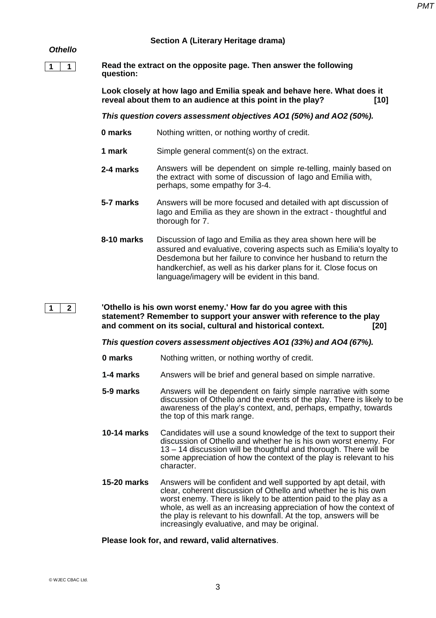#### **Section A (Literary Heritage drama)**

#### *Othello*

|--|

**Read the extract on the opposite page. Then answer the following question:**

**Look closely at how Iago and Emilia speak and behave here. What does it reveal about them to an audience at this point in the play? [10]**

*This question covers assessment objectives AO1 (50%) and AO2 (50%).*

- **0 marks** Nothing written, or nothing worthy of credit.
- **1 mark** Simple general comment(s) on the extract.
- **2-4 marks** Answers will be dependent on simple re-telling, mainly based on the extract with some of discussion of Iago and Emilia with, perhaps, some empathy for 3-4.
- **5-7 marks** Answers will be more focused and detailed with apt discussion of Iago and Emilia as they are shown in the extract - thoughtful and thorough for 7.
- **8-10 marks** Discussion of Iago and Emilia as they area shown here will be assured and evaluative, covering aspects such as Emilia's loyalty to Desdemona but her failure to convince her husband to return the handkerchief, as well as his darker plans for it. Close focus on language/imagery will be evident in this band.

**1 2**

**'Othello is his own worst enemy.' How far do you agree with this statement? Remember to support your answer with reference to the play and comment on its social, cultural and historical context. [20]**

*This question covers assessment objectives AO1 (33%) and AO4 (67%).*

- **0 marks** Nothing written, or nothing worthy of credit.
- **1-4 marks** Answers will be brief and general based on simple narrative.
- **5-9 marks** Answers will be dependent on fairly simple narrative with some discussion of Othello and the events of the play. There is likely to be awareness of the play's context, and, perhaps, empathy, towards the top of this mark range.
- **10-14 marks** Candidates will use a sound knowledge of the text to support their discussion of Othello and whether he is his own worst enemy. For 13 – 14 discussion will be thoughtful and thorough. There will be some appreciation of how the context of the play is relevant to his character.
- **15-20 marks** Answers will be confident and well supported by apt detail, with clear, coherent discussion of Othello and whether he is his own worst enemy. There is likely to be attention paid to the play as a whole, as well as an increasing appreciation of how the context of the play is relevant to his downfall. At the top, answers will be increasingly evaluative, and may be original.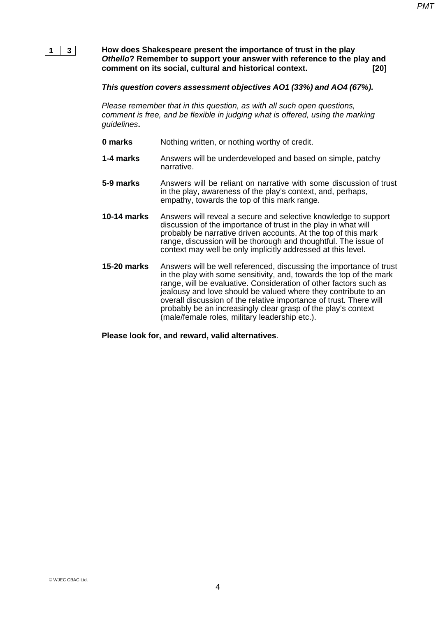

**How does Shakespeare present the importance of trust in the play**  *Othello***? Remember to support your answer with reference to the play and comment on its social, cultural and historical context. [20]**

#### *This question covers assessment objectives AO1 (33%) and AO4 (67%).*

*Please remember that in this question, as with all such open questions, comment is free, and be flexible in judging what is offered, using the marking guidelines***.** 

- **0 marks** Nothing written, or nothing worthy of credit.
- **1-4 marks** Answers will be underdeveloped and based on simple, patchy narrative.
- **5-9 marks** Answers will be reliant on narrative with some discussion of trust in the play, awareness of the play's context, and, perhaps, empathy, towards the top of this mark range.
- **10-14 marks** Answers will reveal a secure and selective knowledge to support discussion of the importance of trust in the play in what will probably be narrative driven accounts. At the top of this mark range, discussion will be thorough and thoughtful. The issue of context may well be only implicitly addressed at this level.
- **15-20 marks** Answers will be well referenced, discussing the importance of trust in the play with some sensitivity, and, towards the top of the mark range, will be evaluative. Consideration of other factors such as jealousy and love should be valued where they contribute to an overall discussion of the relative importance of trust. There will probably be an increasingly clear grasp of the play's context (male/female roles, military leadership etc.).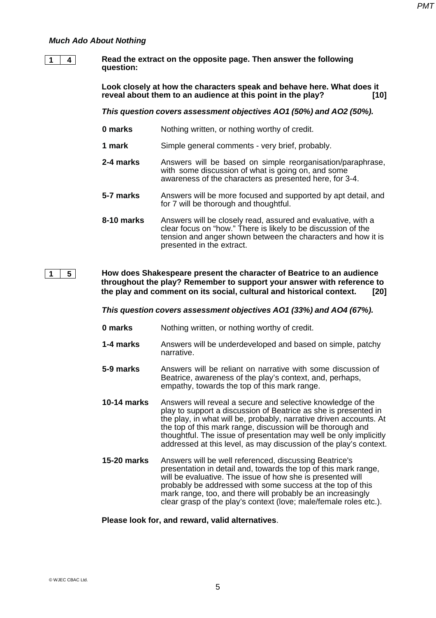# *Much Ado About Nothing*

**1 4**

**Read the extract on the opposite page. Then answer the following question:**

**Look closely at how the characters speak and behave here. What does it**  reveal about them to an audience at this point in the play?

*This question covers assessment objectives AO1 (50%) and AO2 (50%).*

- **0 marks** Nothing written, or nothing worthy of credit.
- **1 mark** Simple general comments very brief, probably.
- **2-4 marks** Answers will be based on simple reorganisation/paraphrase, with some discussion of what is going on, and some awareness of the characters as presented here, for 3-4.
- **5-7 marks** Answers will be more focused and supported by apt detail, and for 7 will be thorough and thoughtful.
- **8-10 marks** Answers will be closely read, assured and evaluative, with a clear focus on "how." There is likely to be discussion of the tension and anger shown between the characters and how it is presented in the extract.
- **How does Shakespeare present the character of Beatrice to an audience throughout the play? Remember to support your answer with reference to the play and comment on its social, cultural and historical context. [20] 1 5**

*This question covers assessment objectives AO1 (33%) and AO4 (67%).*

- **0 marks** Nothing written, or nothing worthy of credit.
- **1-4 marks** Answers will be underdeveloped and based on simple, patchy narrative.
- **5-9 marks** Answers will be reliant on narrative with some discussion of Beatrice, awareness of the play's context, and, perhaps, empathy, towards the top of this mark range.
- **10-14 marks** Answers will reveal a secure and selective knowledge of the play to support a discussion of Beatrice as she is presented in the play, in what will be, probably, narrative driven accounts. At the top of this mark range, discussion will be thorough and thoughtful. The issue of presentation may well be only implicitly addressed at this level, as may discussion of the play's context.
- **15-20 marks** Answers will be well referenced, discussing Beatrice's presentation in detail and, towards the top of this mark range, will be evaluative. The issue of how she is presented will probably be addressed with some success at the top of this mark range, too, and there will probably be an increasingly clear grasp of the play's context (love; male/female roles etc.).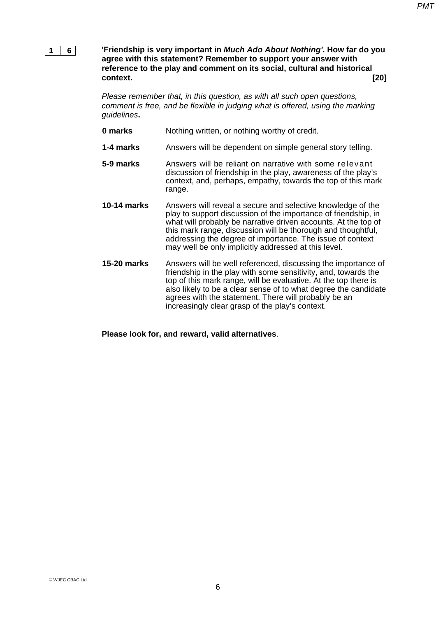

**'Friendship is very important in** *Much Ado About Nothing'***. How far do you agree with this statement? Remember to support your answer with reference to the play and comment on its social, cultural and historical context. [20]**

*Please remember that, in this question, as with all such open questions, comment is free, and be flexible in judging what is offered, using the marking guidelines***.** 

- **0 marks** Nothing written, or nothing worthy of credit.
- **1-4 marks** Answers will be dependent on simple general story telling.
- **5-9 marks** Answers will be reliant on narrative with some relevant discussion of friendship in the play, awareness of the play's context, and, perhaps, empathy, towards the top of this mark range.
- **10-14 marks** Answers will reveal a secure and selective knowledge of the play to support discussion of the importance of friendship, in what will probably be narrative driven accounts. At the top of this mark range, discussion will be thorough and thoughtful, addressing the degree of importance. The issue of context may well be only implicitly addressed at this level.
- **15-20 marks** Answers will be well referenced, discussing the importance of friendship in the play with some sensitivity, and, towards the top of this mark range, will be evaluative. At the top there is also likely to be a clear sense of to what degree the candidate agrees with the statement. There will probably be an increasingly clear grasp of the play's context.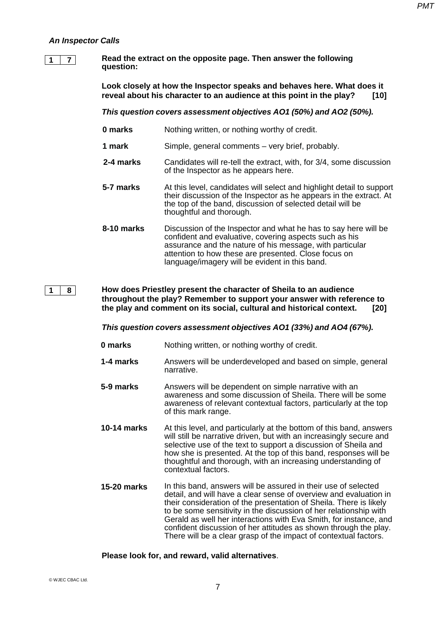# *An Inspector Calls*

# **1 7**

**1 8**

**Read the extract on the opposite page. Then answer the following question:**

**Look closely at how the Inspector speaks and behaves here. What does it reveal about his character to an audience at this point in the play? [10]**

*This question covers assessment objectives AO1 (50%) and AO2 (50%).*

- **0 marks** Nothing written, or nothing worthy of credit.
- **1 mark** Simple, general comments very brief, probably.
- **2-4 marks** Candidates will re-tell the extract, with, for 3/4, some discussion of the Inspector as he appears here.
- **5-7 marks** At this level, candidates will select and highlight detail to support their discussion of the Inspector as he appears in the extract. At the top of the band, discussion of selected detail will be thoughtful and thorough.
- **8-10 marks** Discussion of the Inspector and what he has to say here will be confident and evaluative, covering aspects such as his assurance and the nature of his message, with particular attention to how these are presented. Close focus on language/imagery will be evident in this band.

#### **How does Priestley present the character of Sheila to an audience throughout the play? Remember to support your answer with reference to the play and comment on its social, cultural and historical context. [20]**

*This question covers assessment objectives AO1 (33%) and AO4 (67%).*

- **0 marks** Nothing written, or nothing worthy of credit.
- **1-4 marks** Answers will be underdeveloped and based on simple, general narrative.
- **5-9 marks** Answers will be dependent on simple narrative with an awareness and some discussion of Sheila. There will be some awareness of relevant contextual factors, particularly at the top of this mark range.
- **10-14 marks** At this level, and particularly at the bottom of this band, answers will still be narrative driven, but with an increasingly secure and selective use of the text to support a discussion of Sheila and how she is presented. At the top of this band, responses will be thoughtful and thorough, with an increasing understanding of contextual factors.
- **15-20 marks** In this band, answers will be assured in their use of selected detail, and will have a clear sense of overview and evaluation in their consideration of the presentation of Sheila. There is likely to be some sensitivity in the discussion of her relationship with Gerald as well her interactions with Eva Smith, for instance, and confident discussion of her attitudes as shown through the play. There will be a clear grasp of the impact of contextual factors.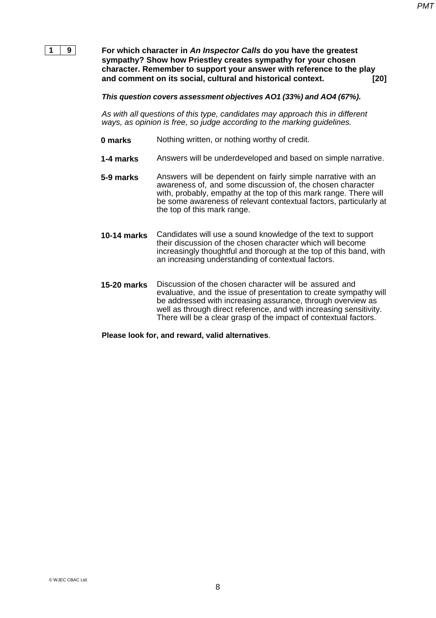

**For which character in** *An Inspector Calls* **do you have the greatest sympathy? Show how Priestley creates sympathy for your chosen character. Remember to support your answer with reference to the play and comment on its social, cultural and historical context. [20]** 

*This question covers assessment objectives AO1 (33%) and AO4 (67%).*

*As with all questions of this type, candidates may approach this in different ways, as opinion is free, so judge according to the marking guidelines.*

- **0 marks** Nothing written, or nothing worthy of credit.
- **1-4 marks** Answers will be underdeveloped and based on simple narrative.
- **5-9 marks** Answers will be dependent on fairly simple narrative with an awareness of, and some discussion of, the chosen character with, probably, empathy at the top of this mark range. There will be some awareness of relevant contextual factors, particularly at the top of this mark range.
- **10-14 marks** Candidates will use a sound knowledge of the text to support their discussion of the chosen character which will become increasingly thoughtful and thorough at the top of this band, with an increasing understanding of contextual factors.
- **15-20 marks** Discussion of the chosen character will be assured and evaluative, and the issue of presentation to create sympathy will be addressed with increasing assurance, through overview as well as through direct reference, and with increasing sensitivity. There will be a clear grasp of the impact of contextual factors.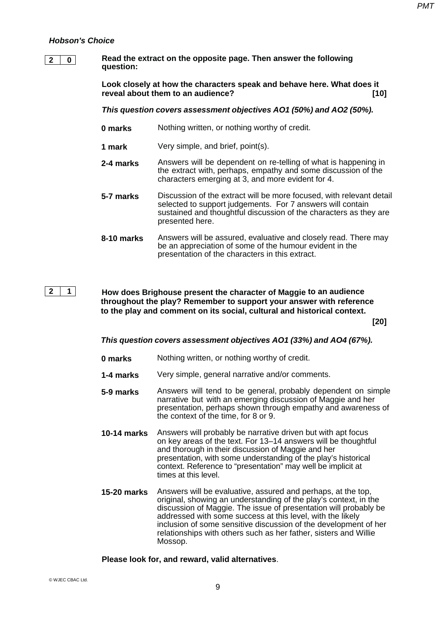# *Hobson's Choice*

# **2 0**

**Read the extract on the opposite page. Then answer the following question:**

**Look closely at how the characters speak and behave here. What does it reveal about them to an audience? [10]**

*This question covers assessment objectives AO1 (50%) and AO2 (50%).*

- **0 marks** Nothing written, or nothing worthy of credit.
- **1 mark** Very simple, and brief, point(s).
- **2-4 marks** Answers will be dependent on re-telling of what is happening in the extract with, perhaps, empathy and some discussion of the characters emerging at 3, and more evident for 4.
- **5-7 marks** Discussion of the extract will be more focused, with relevant detail selected to support judgements. For 7 answers will contain sustained and thoughtful discussion of the characters as they are presented here.
- **8-10 marks** Answers will be assured, evaluative and closely read. There may be an appreciation of some of the humour evident in the presentation of the characters in this extract.

**2 1**

**How does Brighouse present the character of Maggie to an audience throughout the play? Remember to support your answer with reference to the play and comment on its social, cultural and historical context.**

**[20]**

#### *This question covers assessment objectives AO1 (33%) and AO4 (67%).*

- **0 marks** Nothing written, or nothing worthy of credit.
- **1-4 marks** Very simple, general narrative and/or comments.
- **5-9 marks** Answers will tend to be general, probably dependent on simple narrative but with an emerging discussion of Maggie and her presentation, perhaps shown through empathy and awareness of the context of the time, for 8 or 9.
- **10-14 marks** Answers will probably be narrative driven but with apt focus on key areas of the text. For 13–14 answers will be thoughtful and thorough in their discussion of Maggie and her presentation, with some understanding of the play's historical context. Reference to "presentation" may well be implicit at times at this level.
- **15-20 marks** Answers will be evaluative, assured and perhaps, at the top, original, showing an understanding of the play's context, in the discussion of Maggie. The issue of presentation will probably be addressed with some success at this level, with the likely inclusion of some sensitive discussion of the development of her relationships with others such as her father, sisters and Willie Mossop.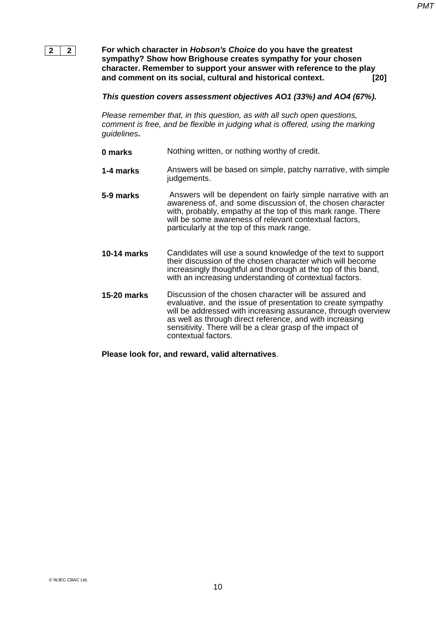

**For which character in** *Hobson's Choice* **do you have the greatest sympathy? Show how Brighouse creates sympathy for your chosen character. Remember to support your answer with reference to the play and comment on its social, cultural and historical context. [20]** 

#### *This question covers assessment objectives AO1 (33%) and AO4 (67%).*

*Please remember that, in this question, as with all such open questions, comment is free, and be flexible in judging what is offered, using the marking guidelines***.** 

- **0 marks** Nothing written, or nothing worthy of credit.
- **1-4 marks** Answers will be based on simple, patchy narrative, with simple judgements.
- **5-9 marks** Answers will be dependent on fairly simple narrative with an awareness of, and some discussion of, the chosen character with, probably, empathy at the top of this mark range. There will be some awareness of relevant contextual factors, particularly at the top of this mark range.
- **10-14 marks** Candidates will use a sound knowledge of the text to support their discussion of the chosen character which will become increasingly thoughtful and thorough at the top of this band, with an increasing understanding of contextual factors.
- **15-20 marks** Discussion of the chosen character will be assured and evaluative, and the issue of presentation to create sympathy will be addressed with increasing assurance, through overview as well as through direct reference, and with increasing sensitivity. There will be a clear grasp of the impact of contextual factors.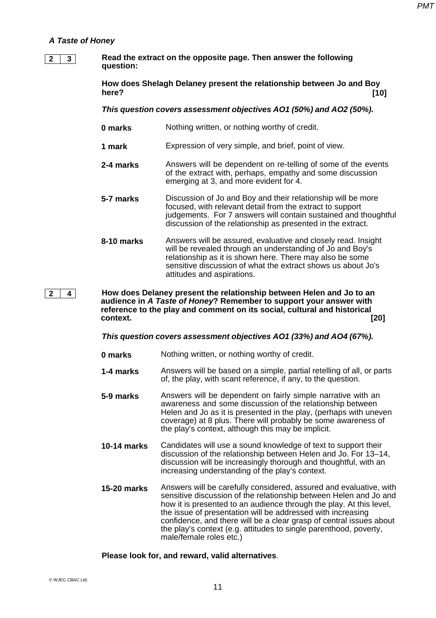# *A Taste of Honey*

**2 3**

**2 4**

# **Read the extract on the opposite page. Then answer the following question:**

**How does Shelagh Delaney present the relationship between Jo and Boy here? [10]**

*This question covers assessment objectives AO1 (50%) and AO2 (50%).*

- **0 marks** Nothing written, or nothing worthy of credit.
- **1 mark** Expression of very simple, and brief, point of view.
- **2-4 marks** Answers will be dependent on re-telling of some of the events of the extract with, perhaps, empathy and some discussion emerging at 3, and more evident for 4.
- **5-7 marks** Discussion of Jo and Boy and their relationship will be more focused, with relevant detail from the extract to support judgements. For 7 answers will contain sustained and thoughtful discussion of the relationship as presented in the extract.
- **8-10 marks** Answers will be assured, evaluative and closely read. Insight will be revealed through an understanding of Jo and Boy's relationship as it is shown here. There may also be some sensitive discussion of what the extract shows us about Jo's attitudes and aspirations.

**How does Delaney present the relationship between Helen and Jo to an audience in** *A Taste of Honey***? Remember to support your answer with reference to the play and comment on its social, cultural and historical context. [20]** 

*This question covers assessment objectives AO1 (33%) and AO4 (67%).*

- **0 marks** Nothing written, or nothing worthy of credit.
- **1-4 marks** Answers will be based on a simple, partial retelling of all, or parts of, the play, with scant reference, if any, to the question.
- **5-9 marks** Answers will be dependent on fairly simple narrative with an awareness and some discussion of the relationship between Helen and Jo as it is presented in the play, (perhaps with uneven coverage) at 8 plus. There will probably be some awareness of the play's context, although this may be implicit.
- **10-14 marks** Candidates will use a sound knowledge of text to support their discussion of the relationship between Helen and Jo. For 13–14, discussion will be increasingly thorough and thoughtful, with an increasing understanding of the play's context.
- **15-20 marks** Answers will be carefully considered, assured and evaluative, with sensitive discussion of the relationship between Helen and Jo and how it is presented to an audience through the play. At this level, the issue of presentation will be addressed with increasing confidence, and there will be a clear grasp of central issues about the play's context (e.g. attitudes to single parenthood, poverty, male/female roles etc.)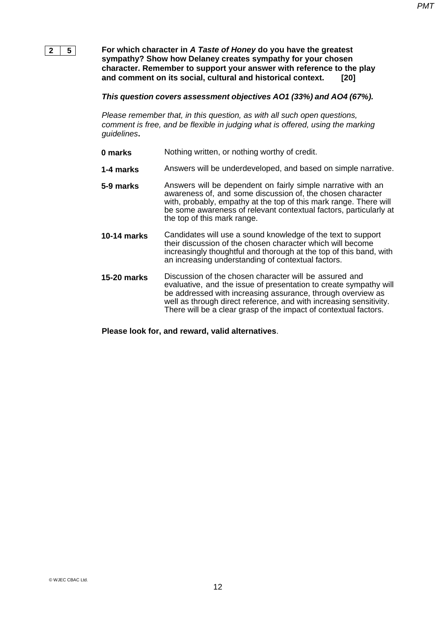

**For which character in** *A Taste of Honey* **do you have the greatest sympathy? Show how Delaney creates sympathy for your chosen character. Remember to support your answer with reference to the play and comment on its social, cultural and historical context. [20]** 

#### *This question covers assessment objectives AO1 (33%) and AO4 (67%).*

*Please remember that, in this question, as with all such open questions, comment is free, and be flexible in judging what is offered, using the marking guidelines***.**

- **0 marks** Nothing written, or nothing worthy of credit.
- **1-4 marks** Answers will be underdeveloped, and based on simple narrative.
- **5-9 marks** Answers will be dependent on fairly simple narrative with an awareness of, and some discussion of, the chosen character with, probably, empathy at the top of this mark range. There will be some awareness of relevant contextual factors, particularly at the top of this mark range.
- **10-14 marks** Candidates will use a sound knowledge of the text to support their discussion of the chosen character which will become increasingly thoughtful and thorough at the top of this band, with an increasing understanding of contextual factors.
- **15-20 marks** Discussion of the chosen character will be assured and evaluative, and the issue of presentation to create sympathy will be addressed with increasing assurance, through overview as well as through direct reference, and with increasing sensitivity. There will be a clear grasp of the impact of contextual factors.

#### **Please look for, and reward, valid alternatives**.

*PMT*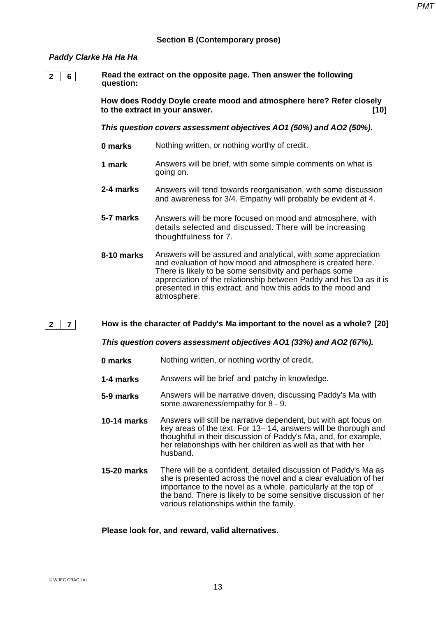#### **Section B (Contemporary prose)**

#### *Paddy Clarke Ha Ha Ha*

**2 6**

**Read the extract on the opposite page. Then answer the following question:**

**How does Roddy Doyle create mood and atmosphere here? Refer closely to the extract in your answer. [10]**

*This question covers assessment objectives AO1 (50%) and AO2 (50%).*

- **0 marks** Nothing written, or nothing worthy of credit.
- **1 mark** Answers will be brief, with some simple comments on what is going on.
- **2-4 marks** Answers will tend towards reorganisation, with some discussion and awareness for 3/4. Empathy will probably be evident at 4.
- **5-7 marks** Answers will be more focused on mood and atmosphere, with details selected and discussed. There will be increasing thoughtfulness for 7.
- **8-10 marks** Answers will be assured and analytical, with some appreciation and evaluation of how mood and atmosphere is created here. There is likely to be some sensitivity and perhaps some appreciation of the relationship between Paddy and his Da as it is presented in this extract, and how this adds to the mood and atmosphere.

#### **How is the character of Paddy's Ma important to the novel as a whole? [20]**

*This question covers assessment objectives AO1 (33%) and AO2 (67%).* 

- **0 marks** Nothing written, or nothing worthy of credit.
- **1-4 marks** Answers will be brief and patchy in knowledge.
- **5-9 marks** Answers will be narrative driven, discussing Paddy's Ma with some awareness/empathy for 8 - 9.
- **10-14 marks** Answers will still be narrative dependent, but with apt focus on key areas of the text. For 13– 14, answers will be thorough and thoughtful in their discussion of Paddy's Ma, and, for example, her relationships with her children as well as that with her husband.
- **15-20 marks** There will be a confident, detailed discussion of Paddy's Ma as she is presented across the novel and a clear evaluation of her importance to the novel as a whole, particularly at the top of the band. There is likely to be some sensitive discussion of her various relationships within the family.

#### **Please look for, and reward, valid alternatives**.

**2 7**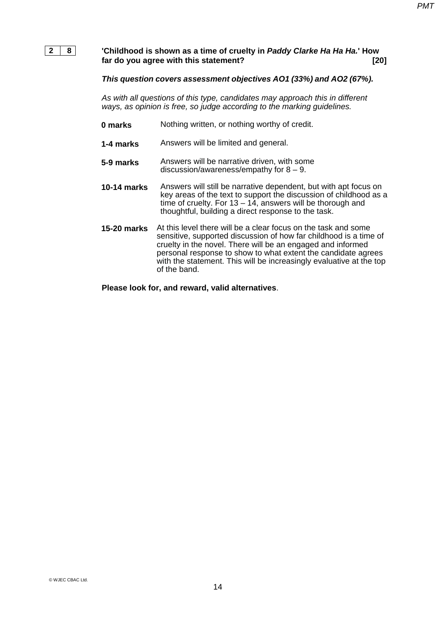

## **'Childhood is shown as a time of cruelty in** *Paddy Clarke Ha Ha Ha.***' How far do you agree with this statement? [20]**

#### *This question covers assessment objectives AO1 (33%) and AO2 (67%).*

*As with all questions of this type, candidates may approach this in different ways, as opinion is free, so judge according to the marking guidelines.*

- **0 marks** Nothing written, or nothing worthy of credit.
- **1-4 marks** Answers will be limited and general.
- **5-9 marks** Answers will be narrative driven, with some discussion/awareness/empathy for 8 – 9.
- **10-14 marks** Answers will still be narrative dependent, but with apt focus on key areas of the text to support the discussion of childhood as a time of cruelty. For  $13 - 14$ , answers will be thorough and thoughtful, building a direct response to the task.
- **15-20 marks** At this level there will be a clear focus on the task and some sensitive, supported discussion of how far childhood is a time of cruelty in the novel. There will be an engaged and informed personal response to show to what extent the candidate agrees with the statement. This will be increasingly evaluative at the top of the band.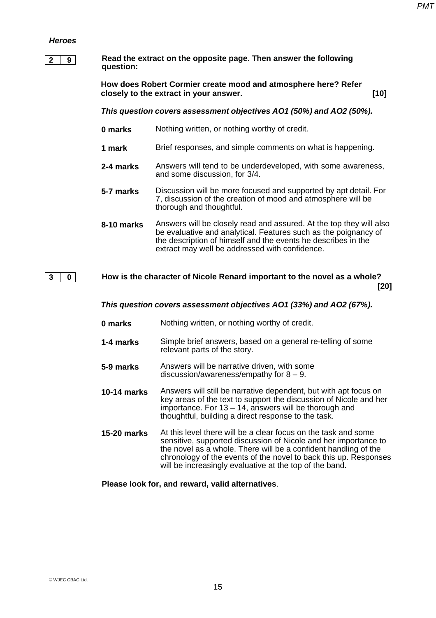#### *Heroes*

# **2 9**

**3 0**

**Read the extract on the opposite page. Then answer the following question:**

**How does Robert Cormier create mood and atmosphere here? Refer closely to the extract in your answer. [10]**

*This question covers assessment objectives AO1 (50%) and AO2 (50%).*

- **0 marks** Nothing written, or nothing worthy of credit.
- **1 mark** Brief responses, and simple comments on what is happening.
- **2-4 marks** Answers will tend to be underdeveloped, with some awareness, and some discussion, for 3/4.
- **5-7 marks** Discussion will be more focused and supported by apt detail. For 7, discussion of the creation of mood and atmosphere will be thorough and thoughtful.
- **8-10 marks** Answers will be closely read and assured. At the top they will also be evaluative and analytical. Features such as the poignancy of the description of himself and the events he describes in the extract may well be addressed with confidence.

**How is the character of Nicole Renard important to the novel as a whole? [20]**

*This question covers assessment objectives AO1 (33%) and AO2 (67%).* 

- **0 marks** Nothing written, or nothing worthy of credit.
- **1-4 marks** Simple brief answers, based on a general re-telling of some relevant parts of the story.
- **5-9 marks** Answers will be narrative driven, with some discussion/awareness/empathy for 8 – 9.
- **10-14 marks** Answers will still be narrative dependent, but with apt focus on key areas of the text to support the discussion of Nicole and her importance. For 13 – 14, answers will be thorough and thoughtful, building a direct response to the task.
- **15-20 marks** At this level there will be a clear focus on the task and some sensitive, supported discussion of Nicole and her importance to the novel as a whole. There will be a confident handling of the chronology of the events of the novel to back this up. Responses will be increasingly evaluative at the top of the band.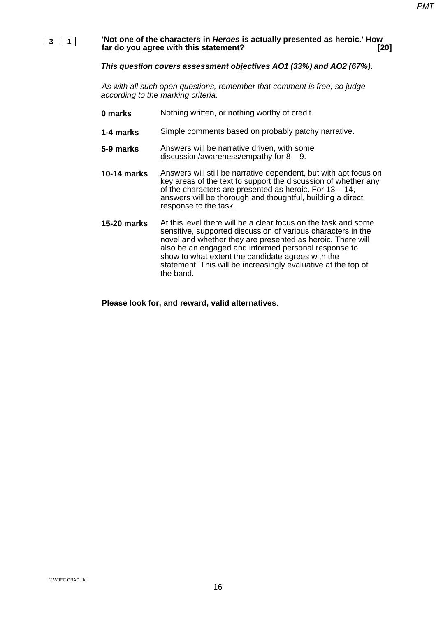

#### **'Not one of the characters in** *Heroes* **is actually presented as heroic.' How**  far do you agree with this statement?

#### *This question covers assessment objectives AO1 (33%) and AO2 (67%).*

*As with all such open questions, remember that comment is free, so judge according to the marking criteria.*

- **0 marks** Nothing written, or nothing worthy of credit.
- **1-4 marks** Simple comments based on probably patchy narrative.
- **5-9 marks** Answers will be narrative driven, with some discussion/awareness/empathy for 8 – 9.
- **10-14 marks** Answers will still be narrative dependent, but with apt focus on key areas of the text to support the discussion of whether any of the characters are presented as heroic. For 13 – 14, answers will be thorough and thoughtful, building a direct response to the task.
- **15-20 marks** At this level there will be a clear focus on the task and some sensitive, supported discussion of various characters in the novel and whether they are presented as heroic. There will also be an engaged and informed personal response to show to what extent the candidate agrees with the statement. This will be increasingly evaluative at the top of the band.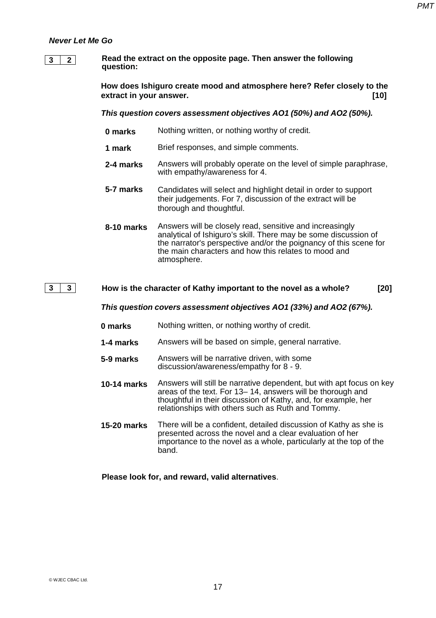#### *Never Let Me Go*

# **3 2**

**Read the extract on the opposite page. Then answer the following question:**

**How does Ishiguro create mood and atmosphere here? Refer closely to the extract in your answer.** 

*This question covers assessment objectives AO1 (50%) and AO2 (50%).*

- **0 marks** Nothing written, or nothing worthy of credit.
- **1 mark** Brief responses, and simple comments.
- **2-4 marks** Answers will probably operate on the level of simple paraphrase, with empathy/awareness for 4.
- **5-7 marks** Candidates will select and highlight detail in order to support their judgements. For 7, discussion of the extract will be thorough and thoughtful.
- **8-10 marks** Answers will be closely read, sensitive and increasingly analytical of Ishiguro's skill. There may be some discussion of the narrator's perspective and/or the poignancy of this scene for the main characters and how this relates to mood and atmosphere.

#### **How is the character of Kathy important to the novel as a whole? [20] 3 3**

#### *This question covers assessment objectives AO1 (33%) and AO2 (67%).*

- **0 marks** Nothing written, or nothing worthy of credit.
- **1-4 marks** Answers will be based on simple, general narrative.
- **5-9 marks** Answers will be narrative driven, with some discussion/awareness/empathy for 8 - 9.
- **10-14 marks** Answers will still be narrative dependent, but with apt focus on key areas of the text. For 13– 14, answers will be thorough and thoughtful in their discussion of Kathy, and, for example, her relationships with others such as Ruth and Tommy.
- **15-20 marks** There will be a confident, detailed discussion of Kathy as she is presented across the novel and a clear evaluation of her importance to the novel as a whole, particularly at the top of the band.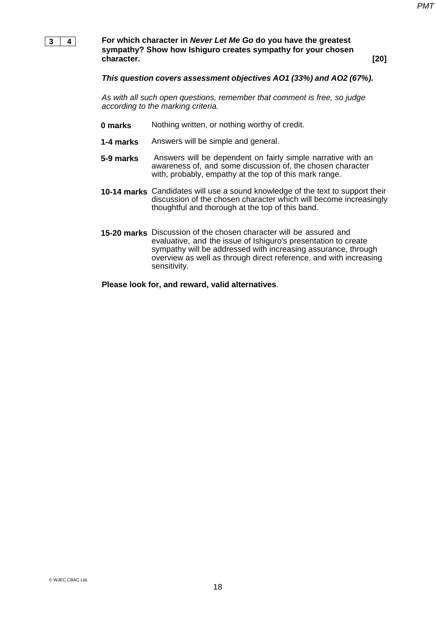

**For which character in** *Never Let Me Go* **do you have the greatest sympathy? Show how Ishiguro creates sympathy for your chosen character. [20]**

*PMT*

#### *This question covers assessment objectives AO1 (33%) and AO2 (67%).*

*As with all such open questions, remember that comment is free, so judge according to the marking criteria.*

- **0 marks** Nothing written, or nothing worthy of credit.
- **1-4 marks** Answers will be simple and general.
- **5-9 marks** Answers will be dependent on fairly simple narrative with an awareness of, and some discussion of, the chosen character with, probably, empathy at the top of this mark range.
- **10-14 marks** Candidates will use a sound knowledge of the text to support their discussion of the chosen character which will become increasingly thoughtful and thorough at the top of this band.
- **15-20 marks** Discussion of the chosen character will be assured and evaluative, and the issue of Ishiguro's presentation to create sympathy will be addressed with increasing assurance, through overview as well as through direct reference, and with increasing sensitivity.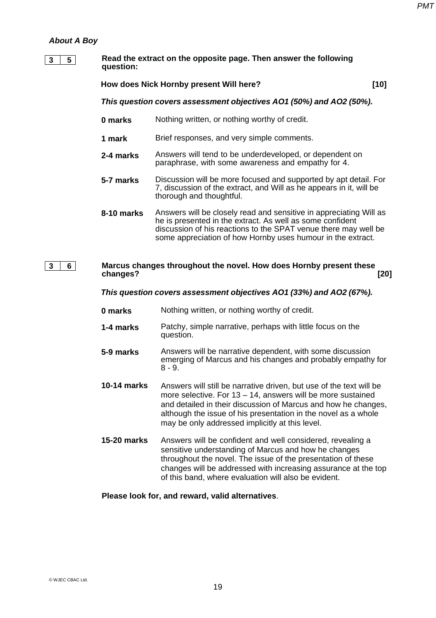# *About A Boy*

| 5 <sup>5</sup><br>3 | Read the extract on the opposite page. Then answer the following<br>question: |                                                                                                                                                                                                                                                                                                                              |  |  |  |
|---------------------|-------------------------------------------------------------------------------|------------------------------------------------------------------------------------------------------------------------------------------------------------------------------------------------------------------------------------------------------------------------------------------------------------------------------|--|--|--|
|                     |                                                                               | How does Nick Hornby present Will here?<br>$[10]$                                                                                                                                                                                                                                                                            |  |  |  |
|                     |                                                                               | This question covers assessment objectives AO1 (50%) and AO2 (50%).                                                                                                                                                                                                                                                          |  |  |  |
|                     | 0 marks                                                                       | Nothing written, or nothing worthy of credit.                                                                                                                                                                                                                                                                                |  |  |  |
|                     | 1 mark                                                                        | Brief responses, and very simple comments.                                                                                                                                                                                                                                                                                   |  |  |  |
|                     | 2-4 marks                                                                     | Answers will tend to be underdeveloped, or dependent on<br>paraphrase, with some awareness and empathy for 4.                                                                                                                                                                                                                |  |  |  |
|                     | 5-7 marks                                                                     | Discussion will be more focused and supported by apt detail. For<br>7, discussion of the extract, and Will as he appears in it, will be<br>thorough and thoughtful.                                                                                                                                                          |  |  |  |
|                     | 8-10 marks                                                                    | Answers will be closely read and sensitive in appreciating Will as<br>he is presented in the extract. As well as some confident<br>discussion of his reactions to the SPAT venue there may well be<br>some appreciation of how Hornby uses humour in the extract.                                                            |  |  |  |
| 3<br>6              | changes?                                                                      | Marcus changes throughout the novel. How does Hornby present these<br>[20]                                                                                                                                                                                                                                                   |  |  |  |
|                     |                                                                               | This question covers assessment objectives AO1 (33%) and AO2 (67%).                                                                                                                                                                                                                                                          |  |  |  |
|                     | 0 marks                                                                       | Nothing written, or nothing worthy of credit.                                                                                                                                                                                                                                                                                |  |  |  |
|                     | 1-4 marks                                                                     | Patchy, simple narrative, perhaps with little focus on the<br>question.                                                                                                                                                                                                                                                      |  |  |  |
|                     | 5-9 marks                                                                     | Answers will be narrative dependent, with some discussion<br>emerging of Marcus and his changes and probably empathy for<br>$8 - 9.$                                                                                                                                                                                         |  |  |  |
|                     | 10-14 marks                                                                   | Answers will still be narrative driven, but use of the text will be<br>more selective. For $13 - 14$ , answers will be more sustained<br>and detailed in their discussion of Marcus and how he changes,<br>although the issue of his presentation in the novel as a whole<br>may be only addressed implicitly at this level. |  |  |  |
|                     | <b>15-20 marks</b>                                                            | Answers will be confident and well considered, revealing a<br>sensitive understanding of Marcus and how he changes<br>throughout the novel. The issue of the presentation of these<br>changes will be addressed with increasing assurance at the top                                                                         |  |  |  |

**Please look for, and reward, valid alternatives**.

of this band, where evaluation will also be evident.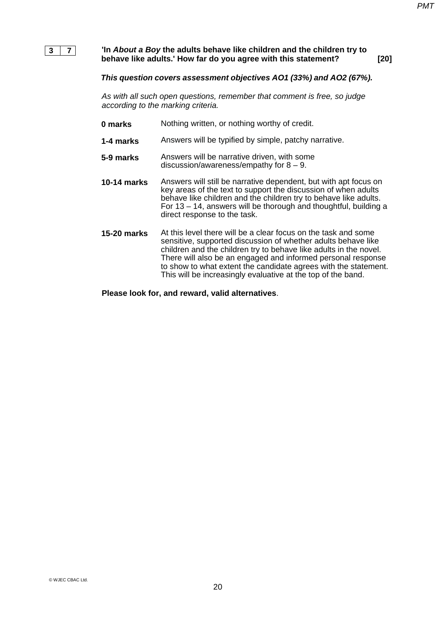

## **'In** *About a Boy* **the adults behave like children and the children try to behave like adults.' How far do you agree with this statement? [20]**

#### *This question covers assessment objectives AO1 (33%) and AO2 (67%).*

*As with all such open questions, remember that comment is free, so judge according to the marking criteria.*

- **0 marks** Nothing written, or nothing worthy of credit.
- **1-4 marks** Answers will be typified by simple, patchy narrative.
- **5-9 marks** Answers will be narrative driven, with some discussion/awareness/empathy for 8 – 9.
- **10-14 marks** Answers will still be narrative dependent, but with apt focus on key areas of the text to support the discussion of when adults behave like children and the children try to behave like adults. For 13 – 14, answers will be thorough and thoughtful, building a direct response to the task.
- **15-20 marks** At this level there will be a clear focus on the task and some sensitive, supported discussion of whether adults behave like children and the children try to behave like adults in the novel. There will also be an engaged and informed personal response to show to what extent the candidate agrees with the statement. This will be increasingly evaluative at the top of the band.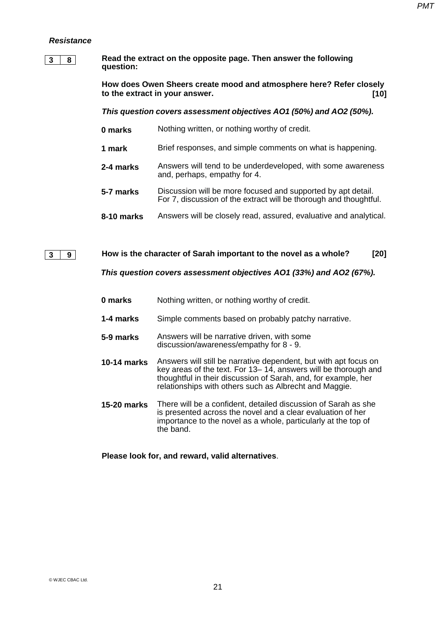#### *Resistance*

**3 8**

**3 9**

#### **Read the extract on the opposite page. Then answer the following question:**

**How does Owen Sheers create mood and atmosphere here? Refer closely to the extract in your answer. [10]**

*This question covers assessment objectives AO1 (50%) and AO2 (50%).*

- **0 marks** Nothing written, or nothing worthy of credit.
- **1 mark** Brief responses, and simple comments on what is happening.
- **2-4 marks** Answers will tend to be underdeveloped, with some awareness and, perhaps, empathy for 4.
- **5-7 marks** Discussion will be more focused and supported by apt detail. For 7, discussion of the extract will be thorough and thoughtful.
- **8-10 marks** Answers will be closely read, assured, evaluative and analytical.

**How is the character of Sarah important to the novel as a whole? [20]**

*This question covers assessment objectives AO1 (33%) and AO2 (67%).*

- **0 marks** Nothing written, or nothing worthy of credit.
- **1-4 marks** Simple comments based on probably patchy narrative.
- **5-9 marks** Answers will be narrative driven, with some discussion/awareness/empathy for 8 - 9.
- **10-14 marks** Answers will still be narrative dependent, but with apt focus on key areas of the text. For 13– 14, answers will be thorough and thoughtful in their discussion of Sarah, and, for example, her relationships with others such as Albrecht and Maggie.
- **15-20 marks** There will be a confident, detailed discussion of Sarah as she is presented across the novel and a clear evaluation of her importance to the novel as a whole, particularly at the top of the band.